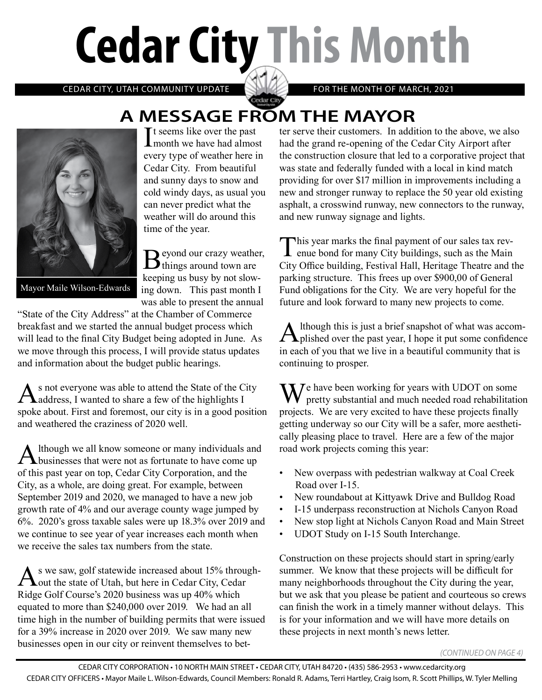# **Cedar City This Month**

CEDAR CITY, UTAH COMMUNITY UPDATE **ANYWAY** FOR THE MONTH OF MARCH, 2021

## **A MESSAGE FROM THE MAYOR**

Cedar City



It seems like over the past<br>
month we have had almos **L**month we have had almost every type of weather here in Cedar City. From beautiful and sunny days to snow and cold windy days, as usual you can never predict what the weather will do around this time of the year.

Beyond our crazy weather, keeping us busy by not slowing down. This past month I was able to present the annual

Mayor Maile Wilson-Edwards

"State of the City Address" at the Chamber of Commerce breakfast and we started the annual budget process which will lead to the final City Budget being adopted in June. As we move through this process, I will provide status updates and information about the budget public hearings.

As not everyone was able to attend the State of the City<br>address, I wanted to share a few of the highlights I spoke about. First and foremost, our city is in a good position and weathered the craziness of 2020 well.

Although we all know someone or many individuals and<br>businesses that were not as fortunate to have come up of this past year on top, Cedar City Corporation, and the City, as a whole, are doing great. For example, between September 2019 and 2020, we managed to have a new job growth rate of 4% and our average county wage jumped by 6%. 2020's gross taxable sales were up 18.3% over 2019 and we continue to see year of year increases each month when we receive the sales tax numbers from the state.

As we saw, golf statewide increased about 15% through-<br>
out the state of Utah, but here in Cedar City, Cedar Ridge Golf Course's 2020 business was up 40% which equated to more than \$240,000 over 2019. We had an all time high in the number of building permits that were issued for a 39% increase in 2020 over 2019. We saw many new businesses open in our city or reinvent themselves to bet-

ter serve their customers. In addition to the above, we also had the grand re-opening of the Cedar City Airport after the construction closure that led to a corporative project that was state and federally funded with a local in kind match providing for over \$17 million in improvements including a new and stronger runway to replace the 50 year old existing asphalt, a crosswind runway, new connectors to the runway, and new runway signage and lights.

This year marks the final payment of our sales tax rev- $\perp$  enue bond for many City buildings, such as the Main City Office building, Festival Hall, Heritage Theatre and the parking structure. This frees up over \$900,00 of General Fund obligations for the City. We are very hopeful for the future and look forward to many new projects to come.

Although this is just a brief snapshot of what was accom-<br>plished over the past year, I hope it put some confidence in each of you that we live in a beautiful community that is continuing to prosper.

We have been working for years with UDOT on some pretty substantial and much needed road rehabilitation projects. We are very excited to have these projects finally getting underway so our City will be a safer, more aesthetically pleasing place to travel. Here are a few of the major road work projects coming this year:

- New overpass with pedestrian walkway at Coal Creek Road over I-15.
- New roundabout at Kittyawk Drive and Bulldog Road
- I-15 underpass reconstruction at Nichols Canyon Road
- New stop light at Nichols Canyon Road and Main Street
- UDOT Study on I-15 South Interchange.

Construction on these projects should start in spring/early summer. We know that these projects will be difficult for many neighborhoods throughout the City during the year, but we ask that you please be patient and courteous so crews can finish the work in a timely manner without delays. This is for your information and we will have more details on these projects in next month's news letter.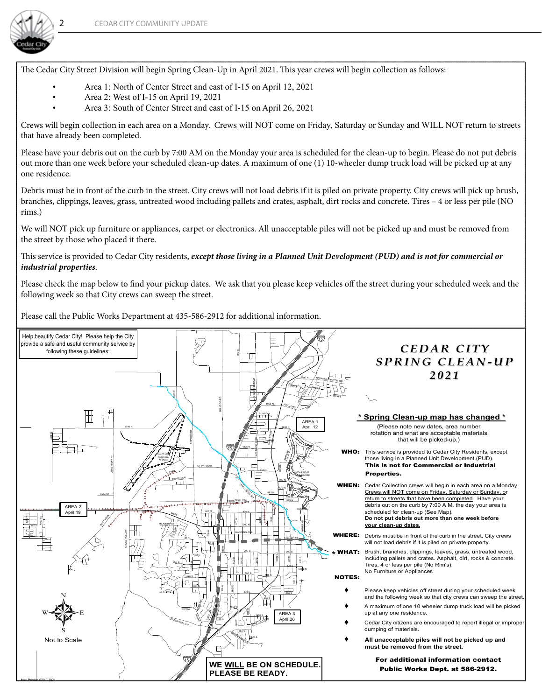

The Cedar City Street Division will begin Spring Clean-Up in April 2021. This year crews will begin collection as follows:

- Area 1: North of Center Street and east of I-15 on April 12, 2021
- Area 2: West of I-15 on April 19, 2021
- Area 3: South of Center Street and east of I-15 on April 26, 2021

Crews will begin collection in each area on a Monday. Crews will NOT come on Friday, Saturday or Sunday and WILL NOT return to streets that have already been completed.

Please have your debris out on the curb by 7:00 AM on the Monday your area is scheduled for the clean-up to begin. Please do not put debris out more than one week before your scheduled clean-up dates. A maximum of one (1) 10-wheeler dump truck load will be picked up at any one residence.

Debris must be in front of the curb in the street. City crews will not load debris if it is piled on private property. City crews will pick up brush, branches, clippings, leaves, grass, untreated wood including pallets and crates, asphalt, dirt rocks and concrete. Tires – 4 or less per pile (NO rims.)

We will NOT pick up furniture or appliances, carpet or electronics. All unacceptable piles will not be picked up and must be removed from the street by those who placed it there.

#### This service is provided to Cedar City residents, *except those living in a Planned Unit Development (PUD) and is not for commercial or industrial properties*.

Please check the map below to find your pickup dates. We ask that you please keep vehicles off the street during your scheduled week and the following week so that City crews can sweep the street.

Please call the Public Works Department at 435-586-2912 for additional information.

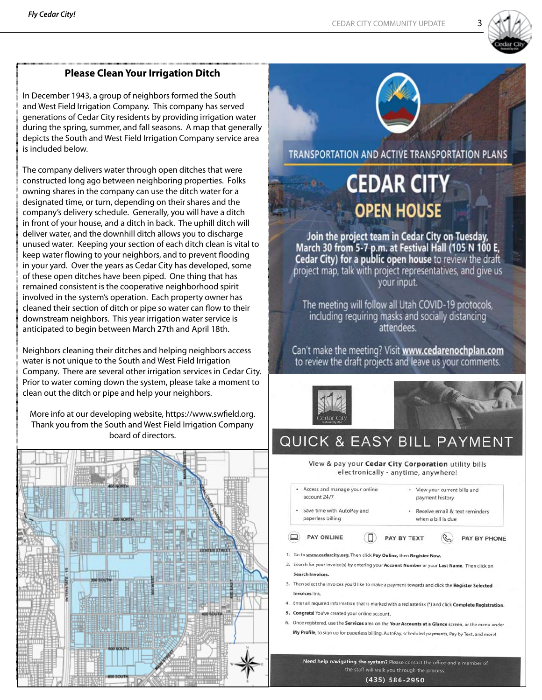

#### **Please Clean Your Irrigation Ditch**

In December 1943, a group of neighbors formed the South and West Field Irrigation Company. This company has served generations of Cedar City residents by providing irrigation water during the spring, summer, and fall seasons. A map that generally depicts the South and West Field Irrigation Company service area is included below.

The company delivers water through open ditches that were constructed long ago between neighboring properties. Folks owning shares in the company can use the ditch water for a designated time, or turn, depending on their shares and the company's delivery schedule. Generally, you will have a ditch in front of your house, and a ditch in back. The uphill ditch will deliver water, and the downhill ditch allows you to discharge unused water. Keeping your section of each ditch clean is vital to keep water flowing to your neighbors, and to prevent flooding in your yard. Over the years as Cedar City has developed, some of these open ditches have been piped. One thing that has remained consistent is the cooperative neighborhood spirit involved in the system's operation. Each property owner has cleaned their section of ditch or pipe so water can flow to their downstream neighbors. This year irrigation water service is anticipated to begin between March 27th and April 18th.

Neighbors cleaning their ditches and helping neighbors access water is not unique to the South and West Field Irrigation Company. There are several other irrigation services in Cedar City. Prior to water coming down the system, please take a moment to clean out the ditch or pipe and help your neighbors.

More info at our developing website, https://www.swfield.org. Thank you from the South and West Field Irrigation Company board of directors.





# **CEDAR CITY OPEN HOUSE**

Join the project team in Cedar City on Tuesday, March 30 from 5-7 p.m. at Festival Hall (105 N 100 E,<br>Cedar City) for a public open house to review the draft project map, talk with project representatives, and give us your input.

The meeting will follow all Utah COVID-19 protocols, including requiring masks and socially distancing attendees

Can't make the meeting? Visit www.cedarenochplan.com to review the draft projects and leave us your comments.



### **QUICK & EASY BILL PAYMENT**

View & pay your Cedar City Corporation utility bills electronically - anytime, anywhere!

- Access and manage your online • View your current bills and account 24/7 payment history Save time with AutoPay and · Receive email & text reminders paperless billing when a bill is due PAY ONLINE  $\Box$ PAY BY TEXT PAY BY PHONE 1. Go to www.cedarcity.org. Then click Pay Online, then Register Now. 2. Search for your invoice(s) by entering your Account Number or your Last Name. Then click on **Search Invoices** 3. Then select the invoices you'd like to make a payment towards and click the Register Selected **Invoices link**
- 4. Enter all required information that is marked with a red asterisk (\*) and click Complete Registration.
- 5. Congrats! You've created your online account.
- 6. Once registered, use the Services area on the Your Accounts at a Glance screen, or the menu under My Profile, to sign up for paperless billing, AutoPay, scheduled payments, Pay by Text, and more!

Need help navigating the system? Please contact the office and a member of the staff will walk you through the process.

 $(435) 586 - 2950$